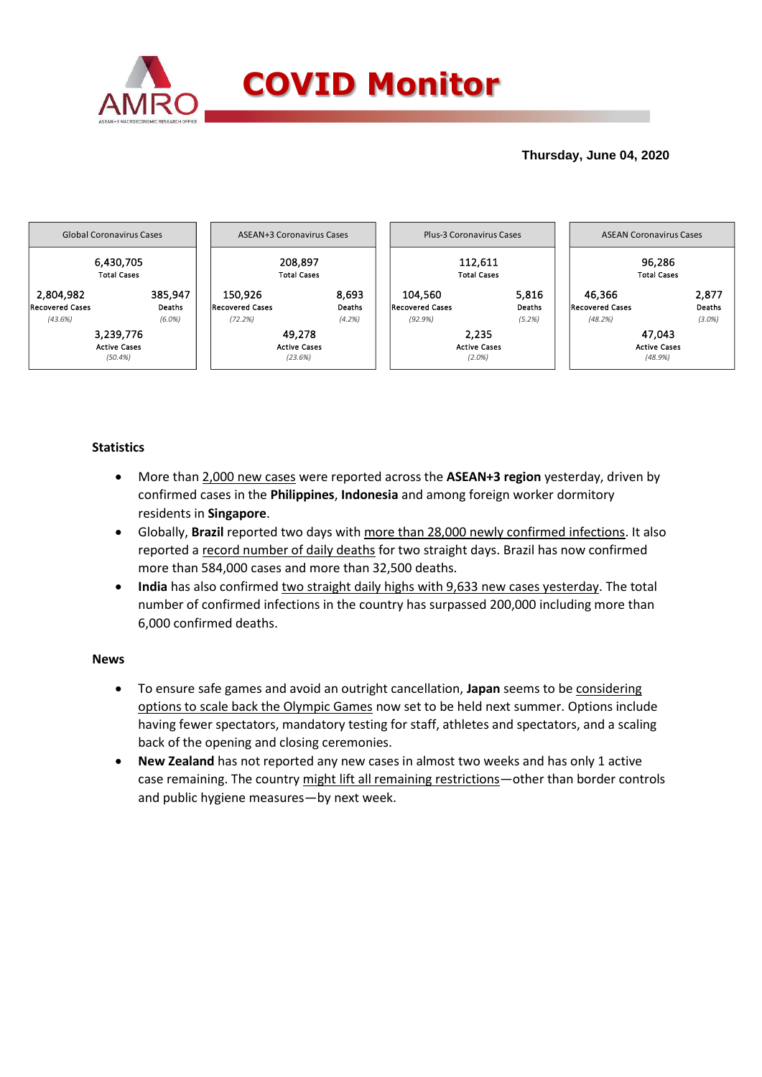

### **Thursday, June 04, 2020**



## **Statistics**

- More than 2,000 new cases were reported across the **ASEAN+3 region** yesterday, driven by confirmed cases in the **Philippines**, **Indonesia** and among foreign worker dormitory residents in **Singapore**.
- Globally, **Brazil** reported two days with more than 28,000 newly confirmed infections. It also reported a record number of daily deaths for two straight days. Brazil has now confirmed more than 584,000 cases and more than 32,500 deaths.
- **India** has also confirmed two straight daily highs with 9,633 new cases yesterday. The total number of confirmed infections in the country has surpassed 200,000 including more than 6,000 confirmed deaths.

#### **News**

- To ensure safe games and avoid an outright cancellation, **Japan** seems to be considering options to scale back the Olympic Games now set to be held next summer. Options include having fewer spectators, mandatory testing for staff, athletes and spectators, and a scaling back of the opening and closing ceremonies.
- **New Zealand** has not reported any new cases in almost two weeks and has only 1 active case remaining. The country might lift all remaining restrictions—other than border controls and public hygiene measures—by next week.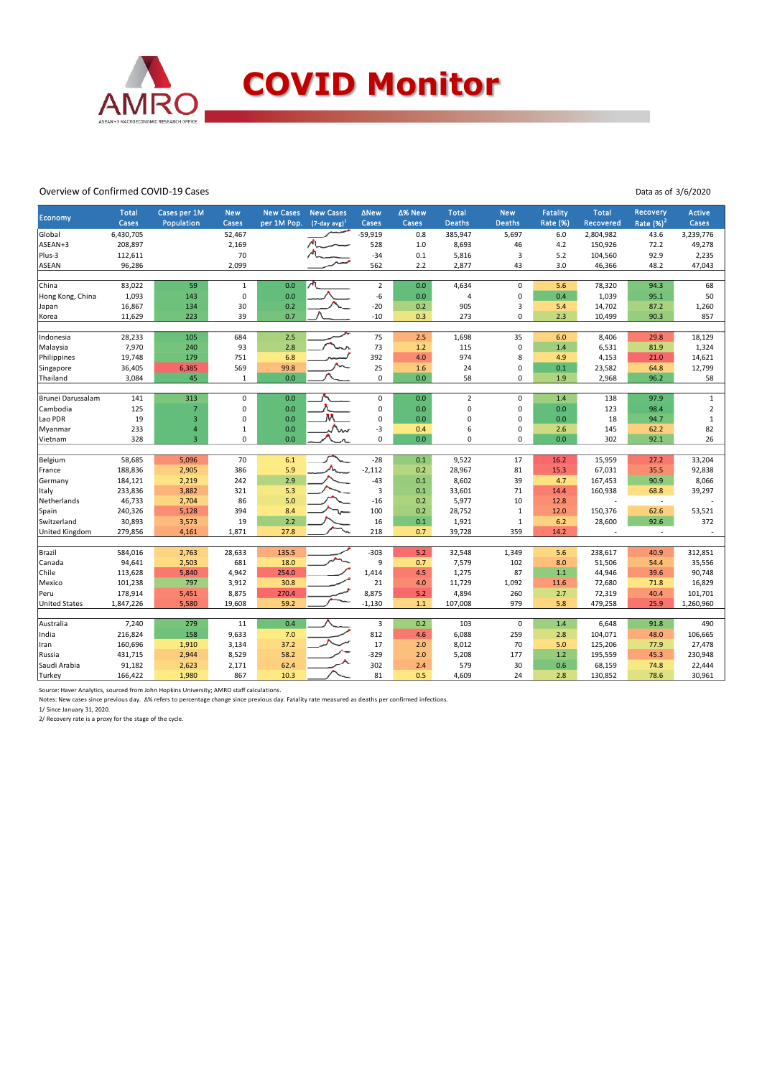

#### Overview of Confirmed COVID-19 Cases

Data as of 3/6/2020

| <b>Economy</b>       | <b>Total</b><br>Cases | Cases per 1M<br>Population       | <b>New</b><br>Cases    | <b>New Cases</b><br>per 1M Pop. | <b>New Cases</b><br>$(7$ -day avg) <sup>1</sup> | <b>ANew</b><br>Cases    | ∆% New<br>Cases | <b>Total</b><br><b>Deaths</b> | <b>New</b><br><b>Deaths</b> | <b>Fatality</b><br><b>Rate (%)</b> | <b>Total</b><br><b>Recovered</b> | Recovery<br>Rate $(%)2$  | <b>Active</b><br>Cases |
|----------------------|-----------------------|----------------------------------|------------------------|---------------------------------|-------------------------------------------------|-------------------------|-----------------|-------------------------------|-----------------------------|------------------------------------|----------------------------------|--------------------------|------------------------|
| Global               | 6,430,705             |                                  | 52,467                 |                                 |                                                 | $-59,919$               | 0.8             | 385,947                       | 5,697                       | 6.0                                | 2,804,982                        | 43.6                     | 3,239,776              |
| ASEAN+3              | 208,897               |                                  | 2,169                  |                                 |                                                 | 528                     | 1.0             | 8,693                         | 46                          | 4.2                                | 150,926                          | 72.2                     | 49,278                 |
| Plus-3               | 112,611               |                                  | 70                     |                                 |                                                 | $-34$                   | 0.1             | 5,816                         | 3                           | 5.2                                | 104,560                          | 92.9                     | 2,235                  |
| <b>ASEAN</b>         | 96,286                |                                  | 2,099                  |                                 |                                                 | 562                     | 2.2             | 2,877                         | 43                          | 3.0                                | 46,366                           | 48.2                     | 47,043                 |
|                      |                       |                                  |                        |                                 |                                                 |                         |                 |                               |                             |                                    |                                  |                          |                        |
| China                | 83,022                | 59                               | $\mathbf 1$            | 0.0                             |                                                 | $\overline{2}$          | 0.0             | 4,634                         | $\mathbf 0$                 | 5.6                                | 78,320                           | 94.3                     | 68                     |
| Hong Kong, China     | 1,093                 | 143                              | 0                      | 0.0                             |                                                 | -6                      | 0.0             | $\overline{4}$                | $\pmb{0}$                   | 0.4                                | 1,039                            | 95.1                     | 50                     |
| Japan                | 16,867                | 134                              | 30                     | 0.2                             |                                                 | $-20$                   | 0.2             | 905                           | 3                           | 5.4                                | 14,702                           | 87.2                     | 1,260                  |
| Korea                | 11,629                | 223                              | 39                     | 0.7                             |                                                 | $-10$                   | 0.3             | 273                           | $\mathbf 0$                 | 2.3                                | 10,499                           | 90.3                     | 857                    |
|                      |                       |                                  |                        |                                 |                                                 |                         |                 |                               |                             |                                    |                                  |                          |                        |
| Indonesia            | 28,233                | 105                              | 684                    | 2.5                             |                                                 | 75                      | 2.5             | 1,698                         | 35                          | 6.0                                | 8,406                            | 29.8                     | 18,129                 |
| Malaysia             | 7,970                 | 240                              | 93                     | 2.8                             |                                                 | 73                      | 1.2             | 115                           | $\mathbf 0$                 | 1.4                                | 6,531                            | 81.9                     | 1,324                  |
| Philippines          | 19,748                | 179                              | 751                    | 6.8                             |                                                 | 392                     | 4.0             | 974                           | 8                           | 4.9                                | 4,153                            | 21.0                     | 14,621                 |
| Singapore            | 36,405                | 6,385                            | 569                    | 99.8                            |                                                 | 25                      | 1.6             | 24                            | $\mathbf 0$                 | 0.1                                | 23,582                           | 64.8                     | 12,799                 |
| Thailand             | 3,084                 | 45                               | $\,1\,$                | 0.0                             |                                                 | $\mathbf 0$             | 0.0             | 58                            | $\mathbf 0$                 | 1.9                                | 2,968                            | 96.2                     | 58                     |
|                      |                       |                                  |                        |                                 |                                                 |                         |                 |                               |                             |                                    |                                  |                          |                        |
| Brunei Darussalam    | 141                   | 313                              | $\pmb{0}$              | 0.0                             |                                                 | 0                       | 0.0             | $\mathbf 2$                   | $\mathbf 0$                 | 1.4                                | 138                              | 97.9                     | $\mathbf 1$            |
| Cambodia             | 125                   | $\overline{7}$                   | 0                      | 0.0                             |                                                 | 0                       | 0.0             | $\mathbf 0$                   | $\mathbf 0$                 | 0.0                                | 123                              | 98.4                     | $\overline{2}$         |
| Lao PDR              | 19                    | $\overline{3}$                   | 0                      | 0.0                             |                                                 | 0                       | 0.0             | $\Omega$                      | $\mathbf 0$                 | 0.0                                | 18                               | 94.7                     | $\,1\,$                |
| Myanmar              | 233                   | $\overline{4}$<br>$\overline{3}$ | $\,1\,$<br>$\mathbf 0$ | 0.0                             |                                                 | -3<br>0                 | 0.4             | 6<br>$\mathbf 0$              | $\mathbf 0$<br>$\mathbf 0$  | 2.6                                | 145                              | 62.2                     | 82                     |
| Vietnam              | 328                   |                                  |                        | 0.0                             |                                                 |                         | 0.0             |                               |                             | 0.0                                | 302                              | 92.1                     | 26                     |
| Belgium              | 58,685                | 5,096                            | 70                     | 6.1                             |                                                 | $-28$                   | 0.1             | 9,522                         | 17                          | 16.2                               | 15,959                           | 27.2                     | 33,204                 |
| France               | 188,836               | 2,905                            | 386                    | 5.9                             |                                                 | $-2,112$                | 0.2             | 28,967                        | 81                          | 15.3                               | 67,031                           | 35.5                     | 92,838                 |
| Germany              | 184,121               | 2,219                            | 242                    | 2.9                             |                                                 | $-43$                   | 0.1             | 8,602                         | 39                          | 4.7                                | 167,453                          | 90.9                     | 8,066                  |
| Italy                | 233,836               | 3,882                            | 321                    | 5.3                             |                                                 | $\overline{3}$          | 0.1             | 33,601                        | 71                          | 14.4                               | 160,938                          | 68.8                     | 39,297                 |
| Netherlands          | 46,733                | 2,704                            | 86                     | 5.0                             |                                                 | $-16$                   | 0.2             | 5,977                         | 10                          | 12.8                               |                                  | $\overline{\phantom{a}}$ |                        |
| Spain                | 240,326               | 5,128                            | 394                    | 8.4                             |                                                 | 100                     | 0.2             | 28,752                        | $\mathbf 1$                 | 12.0                               | 150,376                          | 62.6                     | 53,521                 |
| Switzerland          | 30,893                | 3,573                            | 19                     | 2.2                             |                                                 | 16                      | 0.1             | 1,921                         | $\mathbf 1$                 | 6.2                                | 28,600                           | 92.6                     | 372                    |
| United Kingdom       | 279,856               | 4,161                            | 1,871                  | 27.8                            |                                                 | 218                     | 0.7             | 39,728                        | 359                         | 14.2                               |                                  | ÷                        |                        |
|                      |                       |                                  |                        |                                 |                                                 |                         |                 |                               |                             |                                    |                                  |                          |                        |
| Brazil               | 584,016               | 2,763                            | 28,633                 | 135.5                           |                                                 | $-303$                  | 5.2             | 32,548                        | 1,349                       | 5.6                                | 238,617                          | 40.9                     | 312,851                |
| Canada               | 94,641                | 2,503                            | 681                    | 18.0                            |                                                 | 9                       | 0.7             | 7,579                         | 102                         | 8.0                                | 51,506                           | 54.4                     | 35,556                 |
| Chile                | 113,628               | 5,840                            | 4,942                  | 254.0                           |                                                 | 1,414                   | 4.5             | 1,275                         | 87                          | $1.1$                              | 44,946                           | 39.6                     | 90,748                 |
| Mexico               | 101,238               | 797                              | 3,912                  | 30.8                            |                                                 | 21                      | 4.0             | 11,729                        | 1,092                       | 11.6                               | 72,680                           | 71.8                     | 16,829                 |
| Peru                 | 178,914               | 5,451                            | 8,875                  | 270.4                           |                                                 | 8,875                   | 5.2             | 4,894                         | 260                         | 2.7                                | 72,319                           | 40.4                     | 101,701                |
| <b>United States</b> | 1,847,226             | 5,580                            | 19,608                 | 59.2                            |                                                 | $-1,130$                | 1.1             | 107,008                       | 979                         | 5.8                                | 479,258                          | 25.9                     | 1,260,960              |
|                      |                       |                                  |                        |                                 |                                                 |                         |                 |                               |                             |                                    |                                  |                          |                        |
| Australia            | 7,240                 | 279                              | 11                     | 0.4                             |                                                 | $\overline{\mathbf{3}}$ | 0.2             | 103                           | $\mathbf 0$                 | 1.4                                | 6,648                            | 91.8                     | 490                    |
| India                | 216,824               | 158                              | 9,633                  | 7.0                             |                                                 | 812                     | 4.6             | 6,088                         | 259                         | 2.8                                | 104,071                          | 48.0                     | 106,665                |
| Iran                 | 160,696               | 1,910                            | 3,134                  | 37.2                            |                                                 | 17                      | 2.0             | 8,012                         | 70                          | 5.0                                | 125,206                          | 77.9                     | 27,478                 |
| Russia               | 431,715               | 2,944                            | 8,529                  | 58.2                            |                                                 | $-329$                  | 2.0             | 5,208                         | 177                         | 1.2                                | 195,559                          | 45.3                     | 230,948                |
| Saudi Arabia         | 91,182                | 2,623                            | 2,171                  | 62.4                            |                                                 | 302                     | 2.4             | 579                           | 30                          | 0.6                                | 68,159                           | 74.8                     | 22,444                 |
| Turkey               | 166,422               | 1,980                            | 867                    | 10.3                            |                                                 | 81                      | 0.5             | 4,609                         | 24                          | 2.8                                | 130,852                          | 78.6                     | 30,961                 |

Source: Haver Analytics, sourced from John Hopkins University; AMRO staff calculations.

Notes: New cases since previous day. Δ% refers to percentage change since previous day. Fatality rate measured as deaths per confirmed infections.<br>1/ Since January 31, 2020.<br>2/ Recovery rate is a proxy for the stage of the